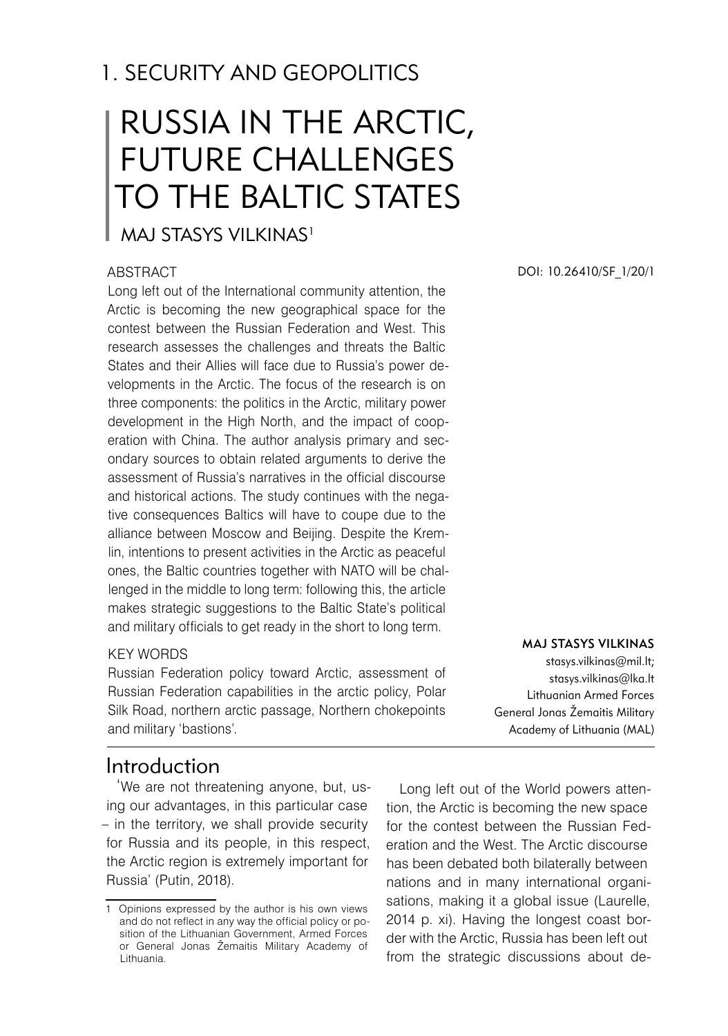## 1. SECURITY AND GEOPOLITICS

# RUSSIA IN THE ARCTIC, FUTURE CHALLENGES TO THE BALTIC STATES

## MAJ STASYS VII KINAS<sup>1</sup>

### **ABSTRACT**

Long left out of the International community attention, the Arctic is becoming the new geographical space for the contest between the Russian Federation and West. This research assesses the challenges and threats the Baltic States and their Allies will face due to Russia's power developments in the Arctic. The focus of the research is on three components: the politics in the Arctic, military power development in the High North, and the impact of cooperation with China. The author analysis primary and secondary sources to obtain related arguments to derive the assessment of Russia's narratives in the official discourse and historical actions. The study continues with the negative consequences Baltics will have to coupe due to the alliance between Moscow and Beijing. Despite the Kremlin, intentions to present activities in the Arctic as peaceful ones, the Baltic countries together with NATO will be challenged in the middle to long term: following this, the article makes strategic suggestions to the Baltic State's political and military officials to get ready in the short to long term.

#### KEY WORDS

Russian Federation policy toward Arctic, assessment of Russian Federation capabilities in the arctic policy, Polar Silk Road, northern arctic passage, Northern chokepoints and military 'bastions'.

## Introduction

'We are not threatening anyone, but, using our advantages, in this particular case – in the territory, we shall provide security for Russia and its people, in this respect, the Arctic region is extremely important for Russia' (Putin, 2018).

DOI: 10.26410/SF\_1/20/1

#### Maj Stasys VILKINAS

stasys.vilkinas@mil.lt; stasys.vilkinas@lka.lt Lithuanian Armed Forces General Jonas Žemaitis Military Academy of Lithuania (MAL)

Long left out of the World powers attention, the Arctic is becoming the new space for the contest between the Russian Federation and the West. The Arctic discourse has been debated both bilaterally between nations and in many international organisations, making it a global issue (Laurelle, 2014 p. xi). Having the longest coast border with the Arctic, Russia has been left out from the strategic discussions about de-

<sup>1</sup> Opinions expressed by the author is his own views and do not reflect in any way the official policy or position of the Lithuanian Government, Armed Forces or General Jonas Žemaitis Military Academy of Lithuania.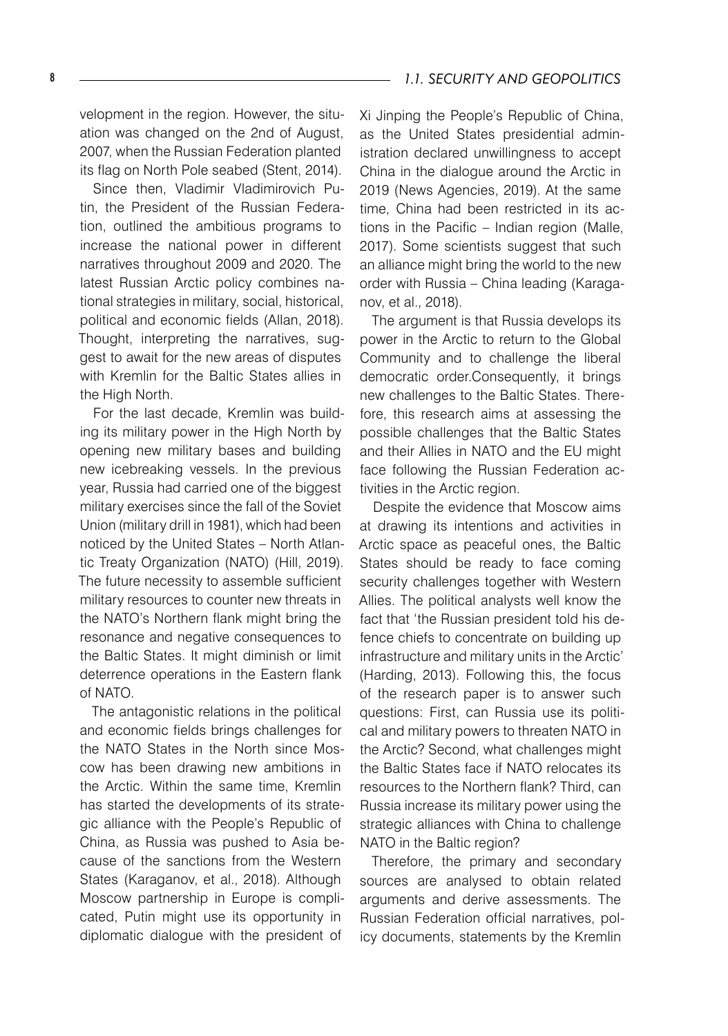velopment in the region. However, the situation was changed on the 2nd of August, 2007, when the Russian Federation planted its flag on North Pole seabed (Stent, 2014).

Since then, Vladimir Vladimirovich Putin, the President of the Russian Federation, outlined the ambitious programs to increase the national power in different narratives throughout 2009 and 2020. The latest Russian Arctic policy combines national strategies in military, social, historical, political and economic fields (Allan, 2018). Thought, interpreting the narratives, suggest to await for the new areas of disputes with Kremlin for the Baltic States allies in the High North.

For the last decade, Kremlin was building its military power in the High North by opening new military bases and building new icebreaking vessels. In the previous year, Russia had carried one of the biggest military exercises since the fall of the Soviet Union (military drill in 1981), which had been noticed by the United States – North Atlantic Treaty Organization (NATO) (Hill, 2019). The future necessity to assemble sufficient military resources to counter new threats in the NATO's Northern flank might bring the resonance and negative consequences to the Baltic States. It might diminish or limit deterrence operations in the Eastern flank of NATO.

The antagonistic relations in the political and economic fields brings challenges for the NATO States in the North since Moscow has been drawing new ambitions in the Arctic. Within the same time, Kremlin has started the developments of its strategic alliance with the People's Republic of China, as Russia was pushed to Asia because of the sanctions from the Western States (Karaganov, et al., 2018). Although Moscow partnership in Europe is complicated, Putin might use its opportunity in diplomatic dialogue with the president of

Xi Jinping the People's Republic of China, as the United States presidential administration declared unwillingness to accept China in the dialogue around the Arctic in 2019 (News Agencies, 2019). At the same time, China had been restricted in its actions in the Pacific – Indian region (Malle, 2017). Some scientists suggest that such an alliance might bring the world to the new order with Russia – China leading (Karaganov, et al., 2018).

The argument is that Russia develops its power in the Arctic to return to the Global Community and to challenge the liberal democratic order.Consequently, it brings new challenges to the Baltic States. Therefore, this research aims at assessing the possible challenges that the Baltic States and their Allies in NATO and the EU might face following the Russian Federation activities in the Arctic region.

Despite the evidence that Moscow aims at drawing its intentions and activities in Arctic space as peaceful ones, the Baltic States should be ready to face coming security challenges together with Western Allies. The political analysts well know the fact that 'the Russian president told his defence chiefs to concentrate on building up infrastructure and military units in the Arctic' (Harding, 2013). Following this, the focus of the research paper is to answer such questions: First, can Russia use its political and military powers to threaten NATO in the Arctic? Second, what challenges might the Baltic States face if NATO relocates its resources to the Northern flank? Third, can Russia increase its military power using the strategic alliances with China to challenge NATO in the Baltic region?

Therefore, the primary and secondary sources are analysed to obtain related arguments and derive assessments. The Russian Federation official narratives, policy documents, statements by the Kremlin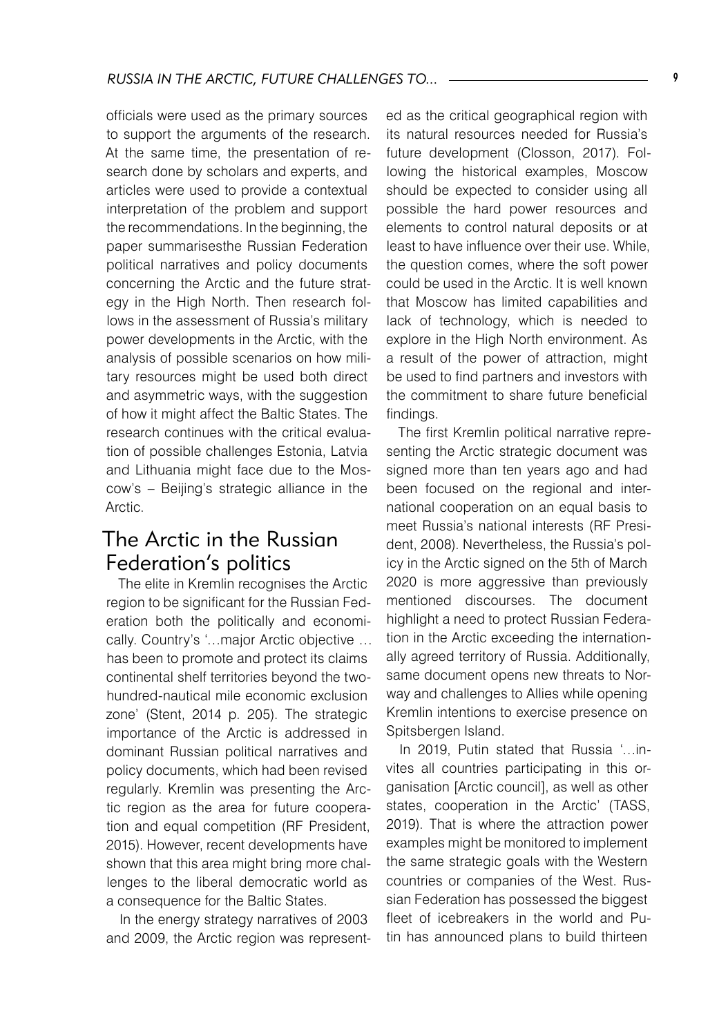officials were used as the primary sources to support the arguments of the research. At the same time, the presentation of research done by scholars and experts, and articles were used to provide a contextual interpretation of the problem and support the recommendations. In the beginning, the paper summarisesthe Russian Federation political narratives and policy documents concerning the Arctic and the future strategy in the High North. Then research follows in the assessment of Russia's military power developments in the Arctic, with the analysis of possible scenarios on how military resources might be used both direct and asymmetric ways, with the suggestion of how it might affect the Baltic States. The research continues with the critical evaluation of possible challenges Estonia, Latvia and Lithuania might face due to the Moscow's – Beijing's strategic alliance in the Arctic.

## The Arctic in the Russian Federation's politics

The elite in Kremlin recognises the Arctic region to be significant for the Russian Federation both the politically and economically. Country's '…major Arctic objective … has been to promote and protect its claims continental shelf territories beyond the twohundred-nautical mile economic exclusion zone' (Stent, 2014 p. 205). The strategic importance of the Arctic is addressed in dominant Russian political narratives and policy documents, which had been revised regularly. Kremlin was presenting the Arctic region as the area for future cooperation and equal competition (RF President, 2015). However, recent developments have shown that this area might bring more challenges to the liberal democratic world as a consequence for the Baltic States.

In the energy strategy narratives of 2003 and 2009, the Arctic region was represented as the critical geographical region with its natural resources needed for Russia's future development (Closson, 2017). Following the historical examples, Moscow should be expected to consider using all possible the hard power resources and elements to control natural deposits or at least to have influence over their use. While, the question comes, where the soft power could be used in the Arctic. It is well known that Moscow has limited capabilities and lack of technology, which is needed to explore in the High North environment. As a result of the power of attraction, might be used to find partners and investors with the commitment to share future beneficial findings.

The first Kremlin political narrative representing the Arctic strategic document was signed more than ten years ago and had been focused on the regional and international cooperation on an equal basis to meet Russia's national interests (RF President, 2008). Nevertheless, the Russia's policy in the Arctic signed on the 5th of March 2020 is more aggressive than previously mentioned discourses. The document highlight a need to protect Russian Federation in the Arctic exceeding the internationally agreed territory of Russia. Additionally, same document opens new threats to Norway and challenges to Allies while opening Kremlin intentions to exercise presence on Spitsbergen Island.

In 2019, Putin stated that Russia '…invites all countries participating in this organisation [Arctic council], as well as other states, cooperation in the Arctic' (TASS, 2019). That is where the attraction power examples might be monitored to implement the same strategic goals with the Western countries or companies of the West. Russian Federation has possessed the biggest fleet of icebreakers in the world and Putin has announced plans to build thirteen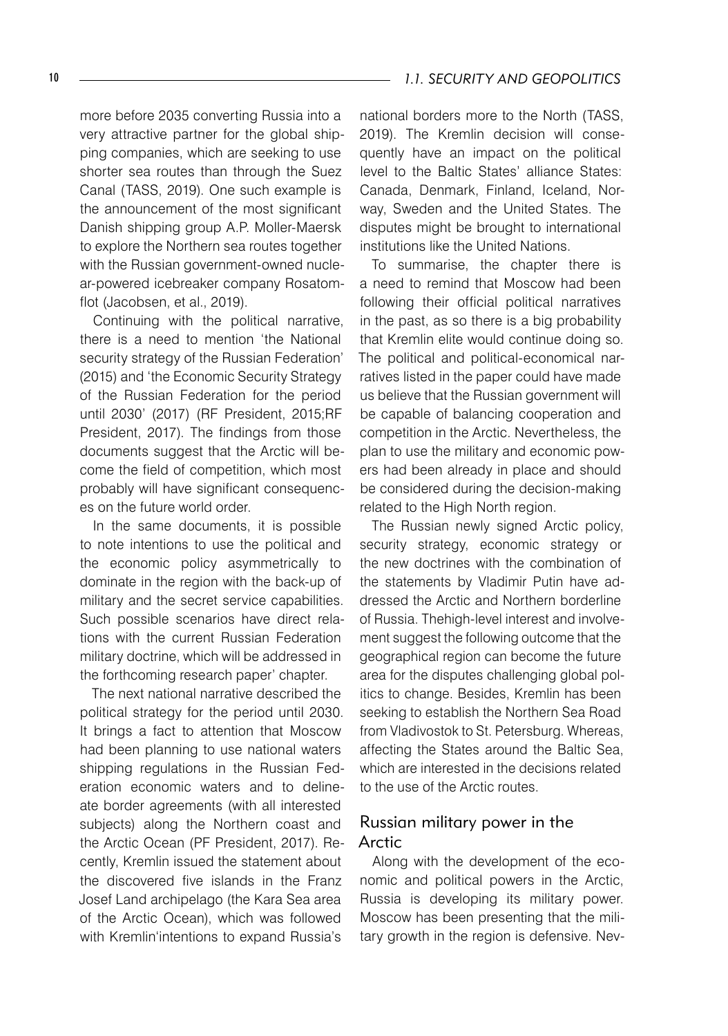#### 10 **10 1.1. SECURITY AND GEOPOLITICS**

more before 2035 converting Russia into a very attractive partner for the global shipping companies, which are seeking to use shorter sea routes than through the Suez Canal (TASS, 2019). One such example is the announcement of the most significant Danish shipping group A.P. Moller-Maersk to explore the Northern sea routes together with the Russian government-owned nuclear-powered icebreaker company Rosatomflot (Jacobsen, et al., 2019).

Continuing with the political narrative, there is a need to mention 'the National security strategy of the Russian Federation' (2015) and 'the Economic Security Strategy of the Russian Federation for the period until 2030' (2017) (RF President, 2015;RF President, 2017). The findings from those documents suggest that the Arctic will become the field of competition, which most probably will have significant consequences on the future world order.

In the same documents, it is possible to note intentions to use the political and the economic policy asymmetrically to dominate in the region with the back-up of military and the secret service capabilities. Such possible scenarios have direct relations with the current Russian Federation military doctrine, which will be addressed in the forthcoming research paper' chapter.

The next national narrative described the political strategy for the period until 2030. It brings a fact to attention that Moscow had been planning to use national waters shipping regulations in the Russian Federation economic waters and to delineate border agreements (with all interested subjects) along the Northern coast and the Arctic Ocean (PF President, 2017). Recently, Kremlin issued the statement about the discovered five islands in the Franz Josef Land archipelago (the Kara Sea area of the Arctic Ocean), which was followed with Kremlin'intentions to expand Russia's

national borders more to the North (TASS, 2019). The Kremlin decision will consequently have an impact on the political level to the Baltic States' alliance States: Canada, Denmark, Finland, Iceland, Norway, Sweden and the United States. The disputes might be brought to international institutions like the United Nations.

To summarise, the chapter there is a need to remind that Moscow had been following their official political narratives in the past, as so there is a big probability that Kremlin elite would continue doing so. The political and political-economical narratives listed in the paper could have made us believe that the Russian government will be capable of balancing cooperation and competition in the Arctic. Nevertheless, the plan to use the military and economic powers had been already in place and should be considered during the decision-making related to the High North region.

The Russian newly signed Arctic policy, security strategy, economic strategy or the new doctrines with the combination of the statements by Vladimir Putin have addressed the Arctic and Northern borderline of Russia. Thehigh-level interest and involvement suggest the following outcome that the geographical region can become the future area for the disputes challenging global politics to change. Besides, Kremlin has been seeking to establish the Northern Sea Road from Vladivostok to St. Petersburg. Whereas, affecting the States around the Baltic Sea, which are interested in the decisions related to the use of the Arctic routes.

#### Russian military power in the Arctic

Along with the development of the economic and political powers in the Arctic, Russia is developing its military power. Moscow has been presenting that the military growth in the region is defensive. Nev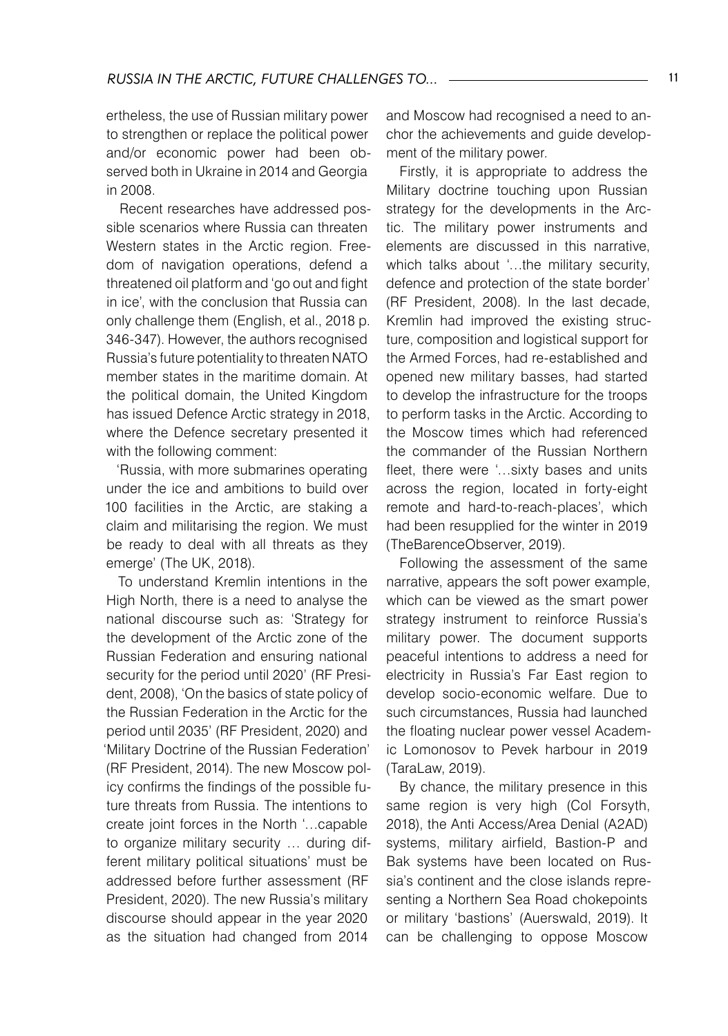ertheless, the use of Russian military power to strengthen or replace the political power and/or economic power had been observed both in Ukraine in 2014 and Georgia in 2008.

Recent researches have addressed possible scenarios where Russia can threaten Western states in the Arctic region. Freedom of navigation operations, defend a threatened oil platform and 'go out and fight in ice', with the conclusion that Russia can only challenge them (English, et al., 2018 p. 346-347). However, the authors recognised Russia's future potentiality to threaten NATO member states in the maritime domain. At the political domain, the United Kingdom has issued Defence Arctic strategy in 2018, where the Defence secretary presented it with the following comment:

'Russia, with more submarines operating under the ice and ambitions to build over 100 facilities in the Arctic, are staking a claim and militarising the region. We must be ready to deal with all threats as they emerge' (The UK, 2018).

To understand Kremlin intentions in the High North, there is a need to analyse the national discourse such as: 'Strategy for the development of the Arctic zone of the Russian Federation and ensuring national security for the period until 2020' (RF President, 2008), 'On the basics of state policy of the Russian Federation in the Arctic for the period until 2035' (RF President, 2020) and 'Military Doctrine of the Russian Federation' (RF President, 2014). The new Moscow policy confirms the findings of the possible future threats from Russia. The intentions to create joint forces in the North '…capable to organize military security … during different military political situations' must be addressed before further assessment (RF President, 2020). The new Russia's military discourse should appear in the year 2020 as the situation had changed from 2014

and Moscow had recognised a need to anchor the achievements and guide development of the military power.

Firstly, it is appropriate to address the Military doctrine touching upon Russian strategy for the developments in the Arctic. The military power instruments and elements are discussed in this narrative, which talks about '…the military security, defence and protection of the state border' (RF President, 2008). In the last decade, Kremlin had improved the existing structure, composition and logistical support for the Armed Forces, had re-established and opened new military basses, had started to develop the infrastructure for the troops to perform tasks in the Arctic. According to the Moscow times which had referenced the commander of the Russian Northern fleet, there were '…sixty bases and units across the region, located in forty-eight remote and hard-to-reach-places', which had been resupplied for the winter in 2019 (TheBarenceObserver, 2019).

Following the assessment of the same narrative, appears the soft power example, which can be viewed as the smart power strategy instrument to reinforce Russia's military power. The document supports peaceful intentions to address a need for electricity in Russia's Far East region to develop socio-economic welfare. Due to such circumstances, Russia had launched the floating nuclear power vessel Academic Lomonosov to Pevek harbour in 2019 (TaraLaw, 2019).

By chance, the military presence in this same region is very high (Col Forsyth, 2018), the Anti Access/Area Denial (A2AD) systems, military airfield, Bastion-P and Bak systems have been located on Russia's continent and the close islands representing a Northern Sea Road chokepoints or military 'bastions' (Auerswald, 2019). It can be challenging to oppose Moscow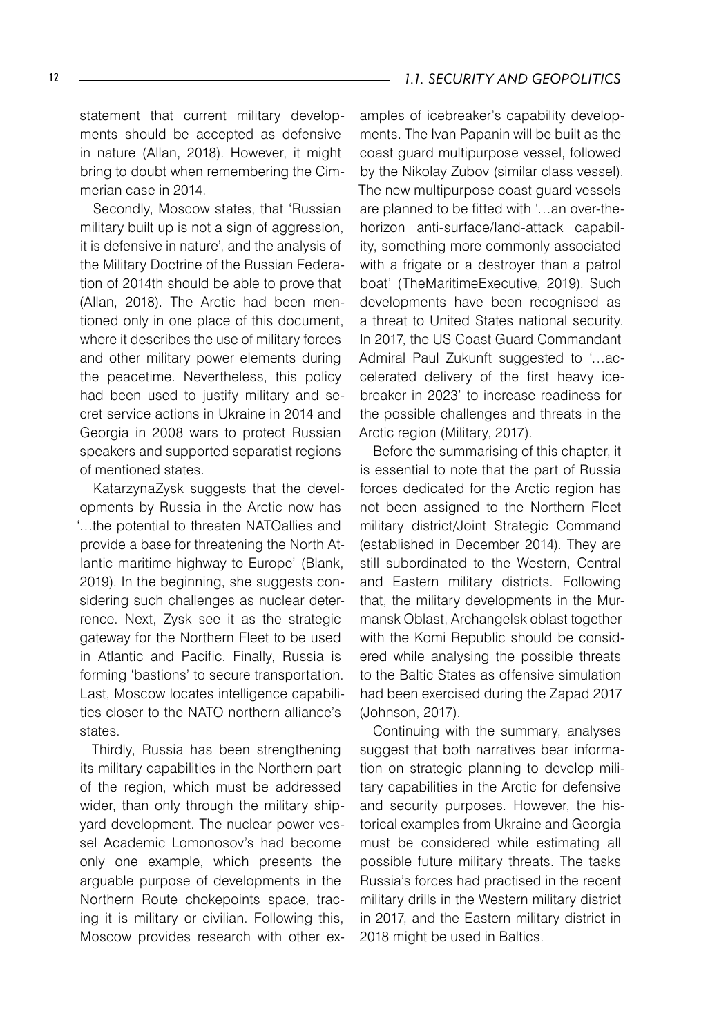statement that current military developments should be accepted as defensive in nature (Allan, 2018). However, it might bring to doubt when remembering the Cimmerian case in 2014.

Secondly, Moscow states, that 'Russian military built up is not a sign of aggression, it is defensive in nature', and the analysis of the Military Doctrine of the Russian Federation of 2014th should be able to prove that (Allan, 2018). The Arctic had been mentioned only in one place of this document, where it describes the use of military forces and other military power elements during the peacetime. Nevertheless, this policy had been used to justify military and secret service actions in Ukraine in 2014 and Georgia in 2008 wars to protect Russian speakers and supported separatist regions of mentioned states.

KatarzynaZysk suggests that the developments by Russia in the Arctic now has '…the potential to threaten NATOallies and provide a base for threatening the North Atlantic maritime highway to Europe' (Blank, 2019). In the beginning, she suggests considering such challenges as nuclear deterrence. Next, Zysk see it as the strategic gateway for the Northern Fleet to be used in Atlantic and Pacific. Finally, Russia is forming 'bastions' to secure transportation. Last, Moscow locates intelligence capabilities closer to the NATO northern alliance's states.

Thirdly, Russia has been strengthening its military capabilities in the Northern part of the region, which must be addressed wider, than only through the military shipyard development. The nuclear power vessel Academic Lomonosov's had become only one example, which presents the arguable purpose of developments in the Northern Route chokepoints space, tracing it is military or civilian. Following this, Moscow provides research with other examples of icebreaker's capability developments. The Ivan Papanin will be built as the coast guard multipurpose vessel, followed by the Nikolay Zubov (similar class vessel). The new multipurpose coast guard vessels are planned to be fitted with '…an over-thehorizon anti-surface/land-attack capability, something more commonly associated with a frigate or a destroyer than a patrol boat' (TheMaritimeExecutive, 2019). Such developments have been recognised as a threat to United States national security. In 2017, the US Coast Guard Commandant Admiral Paul Zukunft suggested to '…accelerated delivery of the first heavy icebreaker in 2023' to increase readiness for the possible challenges and threats in the Arctic region (Military, 2017).

Before the summarising of this chapter, it is essential to note that the part of Russia forces dedicated for the Arctic region has not been assigned to the Northern Fleet military district/Joint Strategic Command (established in December 2014). They are still subordinated to the Western, Central and Eastern military districts. Following that, the military developments in the Murmansk Oblast, Archangelsk oblast together with the Komi Republic should be considered while analysing the possible threats to the Baltic States as offensive simulation had been exercised during the Zapad 2017 (Johnson, 2017).

Continuing with the summary, analyses suggest that both narratives bear information on strategic planning to develop military capabilities in the Arctic for defensive and security purposes. However, the historical examples from Ukraine and Georgia must be considered while estimating all possible future military threats. The tasks Russia's forces had practised in the recent military drills in the Western military district in 2017, and the Eastern military district in 2018 might be used in Baltics.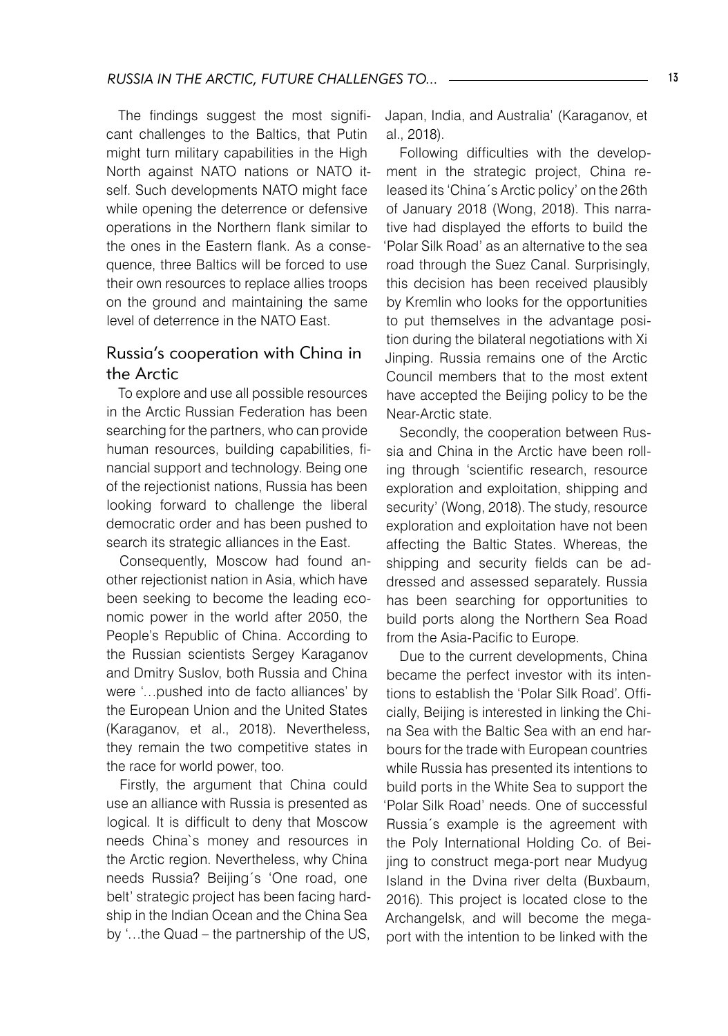The findings suggest the most significant challenges to the Baltics, that Putin might turn military capabilities in the High North against NATO nations or NATO itself. Such developments NATO might face while opening the deterrence or defensive operations in the Northern flank similar to the ones in the Eastern flank. As a consequence, three Baltics will be forced to use their own resources to replace allies troops on the ground and maintaining the same level of deterrence in the NATO East.

#### Russia's cooperation with China in the Arctic

To explore and use all possible resources in the Arctic Russian Federation has been searching for the partners, who can provide human resources, building capabilities, financial support and technology. Being one of the rejectionist nations, Russia has been looking forward to challenge the liberal democratic order and has been pushed to search its strategic alliances in the East.

Consequently, Moscow had found another rejectionist nation in Asia, which have been seeking to become the leading economic power in the world after 2050, the People's Republic of China. According to the Russian scientists Sergey Karaganov and Dmitry Suslov, both Russia and China were '…pushed into de facto alliances' by the European Union and the United States (Karaganov, et al., 2018). Nevertheless, they remain the two competitive states in the race for world power, too.

Firstly, the argument that China could use an alliance with Russia is presented as logical. It is difficult to deny that Moscow needs China`s money and resources in the Arctic region. Nevertheless, why China needs Russia? Beijing´s 'One road, one belt' strategic project has been facing hardship in the Indian Ocean and the China Sea by '…the Quad – the partnership of the US, Japan, India, and Australia' (Karaganov, et al., 2018).

Following difficulties with the development in the strategic project, China released its 'China´s Arctic policy' on the 26th of January 2018 (Wong, 2018). This narrative had displayed the efforts to build the 'Polar Silk Road' as an alternative to the sea road through the Suez Canal. Surprisingly, this decision has been received plausibly by Kremlin who looks for the opportunities to put themselves in the advantage position during the bilateral negotiations with Xi Jinping. Russia remains one of the Arctic Council members that to the most extent have accepted the Beijing policy to be the Near-Arctic state.

Secondly, the cooperation between Russia and China in the Arctic have been rolling through 'scientific research, resource exploration and exploitation, shipping and security' (Wong, 2018). The study, resource exploration and exploitation have not been affecting the Baltic States. Whereas, the shipping and security fields can be addressed and assessed separately. Russia has been searching for opportunities to build ports along the Northern Sea Road from the Asia-Pacific to Europe.

Due to the current developments, China became the perfect investor with its intentions to establish the 'Polar Silk Road'. Officially, Beijing is interested in linking the China Sea with the Baltic Sea with an end harbours for the trade with European countries while Russia has presented its intentions to build ports in the White Sea to support the 'Polar Silk Road' needs. One of successful Russia´s example is the agreement with the Poly International Holding Co. of Beijing to construct mega-port near Mudyug Island in the Dvina river delta (Buxbaum, 2016). This project is located close to the Archangelsk, and will become the megaport with the intention to be linked with the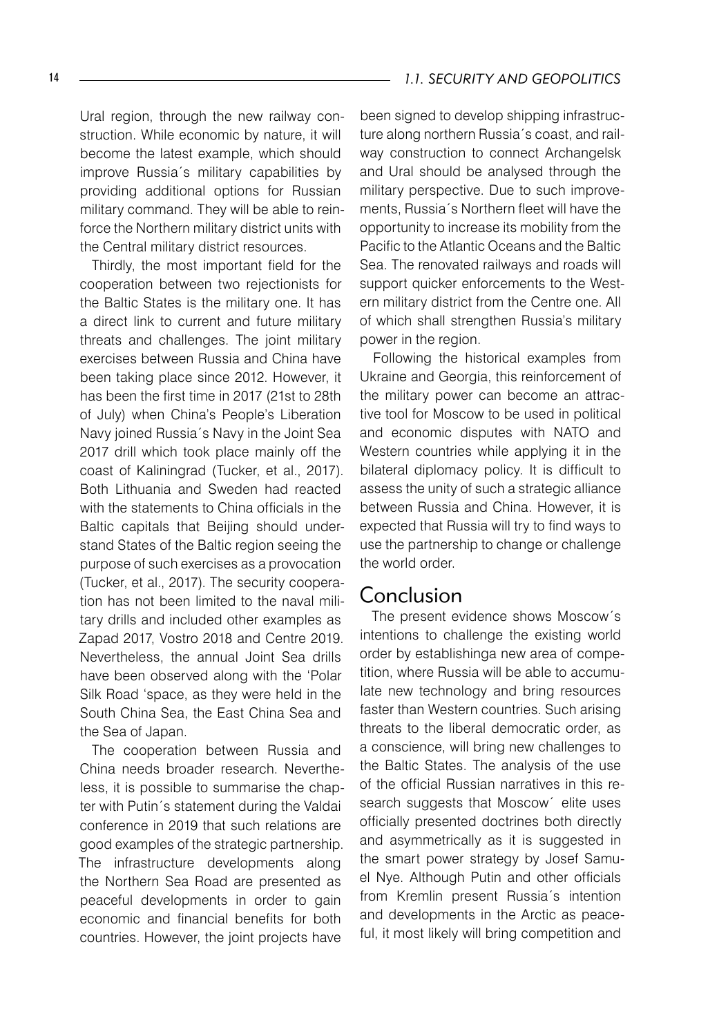Ural region, through the new railway construction. While economic by nature, it will become the latest example, which should improve Russia´s military capabilities by providing additional options for Russian military command. They will be able to reinforce the Northern military district units with the Central military district resources.

Thirdly, the most important field for the cooperation between two rejectionists for the Baltic States is the military one. It has a direct link to current and future military threats and challenges. The joint military exercises between Russia and China have been taking place since 2012. However, it has been the first time in 2017 (21st to 28th of July) when China's People's Liberation Navy joined Russia´s Navy in the Joint Sea 2017 drill which took place mainly off the coast of Kaliningrad (Tucker, et al., 2017). Both Lithuania and Sweden had reacted with the statements to China officials in the Baltic capitals that Beijing should understand States of the Baltic region seeing the purpose of such exercises as a provocation (Tucker, et al., 2017). The security cooperation has not been limited to the naval military drills and included other examples as Zapad 2017, Vostro 2018 and Centre 2019. Nevertheless, the annual Joint Sea drills have been observed along with the 'Polar Silk Road 'space, as they were held in the South China Sea, the East China Sea and the Sea of Japan.

The cooperation between Russia and China needs broader research. Nevertheless, it is possible to summarise the chapter with Putin´s statement during the Valdai conference in 2019 that such relations are good examples of the strategic partnership. The infrastructure developments along the Northern Sea Road are presented as peaceful developments in order to gain economic and financial benefits for both countries. However, the joint projects have

been signed to develop shipping infrastructure along northern Russia´s coast, and railway construction to connect Archangelsk and Ural should be analysed through the military perspective. Due to such improvements, Russia´s Northern fleet will have the opportunity to increase its mobility from the Pacific to the Atlantic Oceans and the Baltic Sea. The renovated railways and roads will support quicker enforcements to the Western military district from the Centre one. All of which shall strengthen Russia's military power in the region.

Following the historical examples from Ukraine and Georgia, this reinforcement of the military power can become an attractive tool for Moscow to be used in political and economic disputes with NATO and Western countries while applying it in the bilateral diplomacy policy. It is difficult to assess the unity of such a strategic alliance between Russia and China. However, it is expected that Russia will try to find ways to use the partnership to change or challenge the world order.

## Conclusion

The present evidence shows Moscow´s intentions to challenge the existing world order by establishinga new area of competition, where Russia will be able to accumulate new technology and bring resources faster than Western countries. Such arising threats to the liberal democratic order, as a conscience, will bring new challenges to the Baltic States. The analysis of the use of the official Russian narratives in this research suggests that Moscow<sup>\*</sup> elite uses officially presented doctrines both directly and asymmetrically as it is suggested in the smart power strategy by Josef Samuel Nye. Although Putin and other officials from Kremlin present Russia´s intention and developments in the Arctic as peaceful, it most likely will bring competition and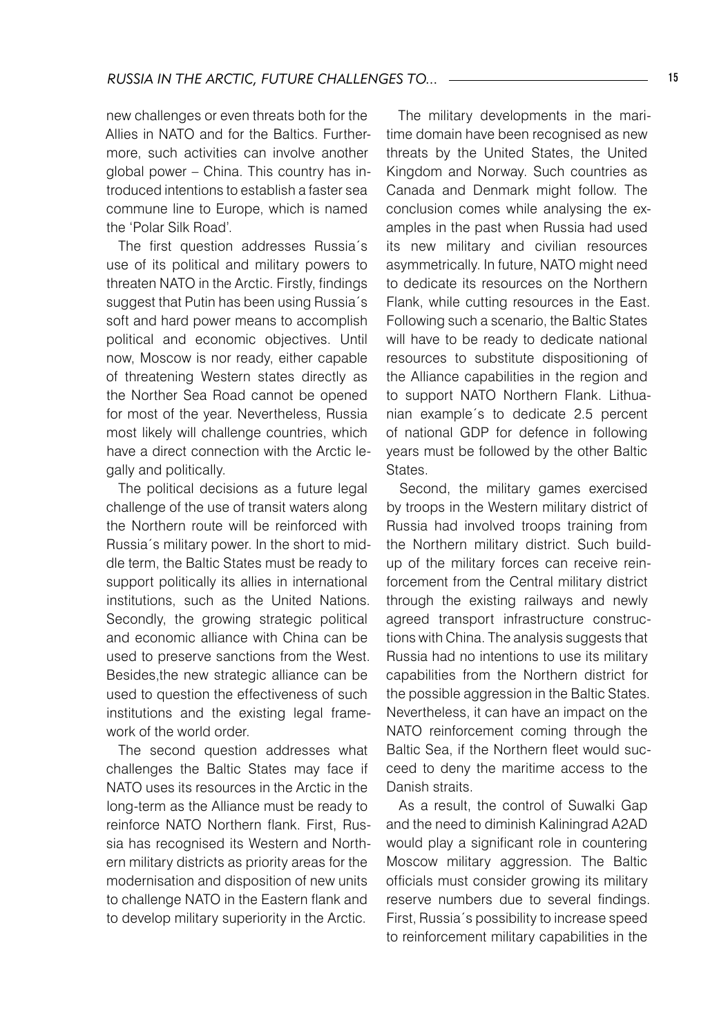new challenges or even threats both for the Allies in NATO and for the Baltics. Furthermore, such activities can involve another global power – China. This country has introduced intentions to establish a faster sea commune line to Europe, which is named the 'Polar Silk Road'.

The first question addresses Russia´s use of its political and military powers to threaten NATO in the Arctic. Firstly, findings suggest that Putin has been using Russia´s soft and hard power means to accomplish political and economic objectives. Until now, Moscow is nor ready, either capable of threatening Western states directly as the Norther Sea Road cannot be opened for most of the year. Nevertheless, Russia most likely will challenge countries, which have a direct connection with the Arctic legally and politically.

The political decisions as a future legal challenge of the use of transit waters along the Northern route will be reinforced with Russia´s military power. In the short to middle term, the Baltic States must be ready to support politically its allies in international institutions, such as the United Nations. Secondly, the growing strategic political and economic alliance with China can be used to preserve sanctions from the West. Besides,the new strategic alliance can be used to question the effectiveness of such institutions and the existing legal framework of the world order.

The second question addresses what challenges the Baltic States may face if NATO uses its resources in the Arctic in the long-term as the Alliance must be ready to reinforce NATO Northern flank. First, Russia has recognised its Western and Northern military districts as priority areas for the modernisation and disposition of new units to challenge NATO in the Eastern flank and to develop military superiority in the Arctic.

The military developments in the maritime domain have been recognised as new threats by the United States, the United Kingdom and Norway. Such countries as Canada and Denmark might follow. The conclusion comes while analysing the examples in the past when Russia had used its new military and civilian resources asymmetrically. In future, NATO might need to dedicate its resources on the Northern Flank, while cutting resources in the East. Following such a scenario, the Baltic States will have to be ready to dedicate national resources to substitute dispositioning of the Alliance capabilities in the region and to support NATO Northern Flank. Lithuanian example´s to dedicate 2.5 percent of national GDP for defence in following years must be followed by the other Baltic States.

Second, the military games exercised by troops in the Western military district of Russia had involved troops training from the Northern military district. Such buildup of the military forces can receive reinforcement from the Central military district through the existing railways and newly agreed transport infrastructure constructions with China. The analysis suggests that Russia had no intentions to use its military capabilities from the Northern district for the possible aggression in the Baltic States. Nevertheless, it can have an impact on the NATO reinforcement coming through the Baltic Sea, if the Northern fleet would succeed to deny the maritime access to the Danish straits.

As a result, the control of Suwalki Gap and the need to diminish Kaliningrad A2AD would play a significant role in countering Moscow military aggression. The Baltic officials must consider growing its military reserve numbers due to several findings. First, Russia´s possibility to increase speed to reinforcement military capabilities in the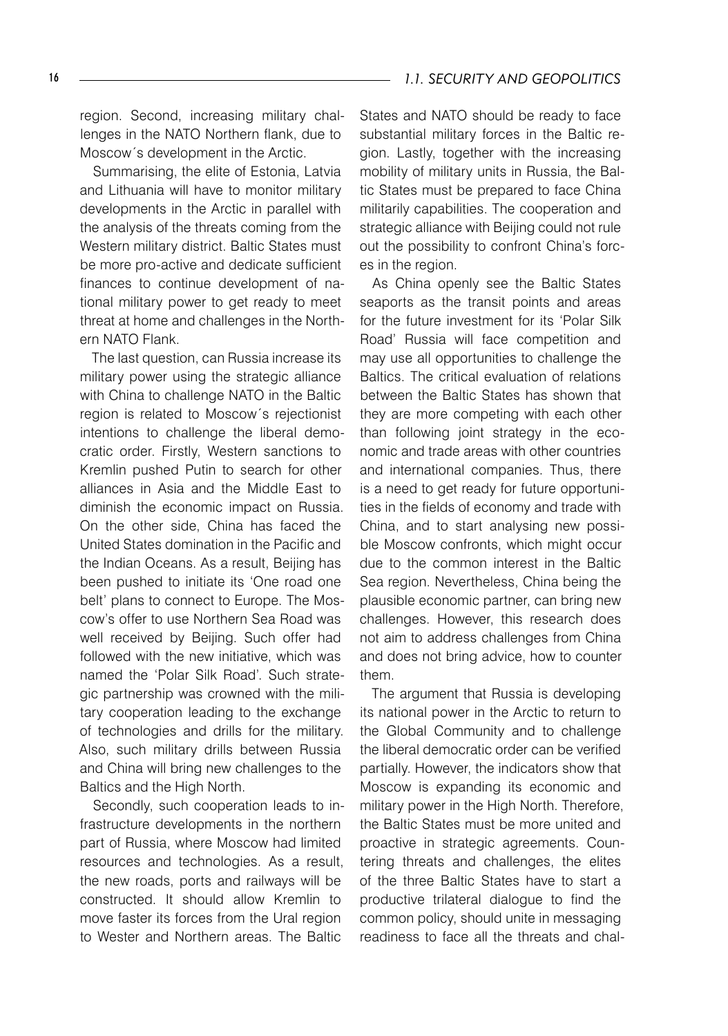region. Second, increasing military challenges in the NATO Northern flank, due to Moscow´s development in the Arctic.

Summarising, the elite of Estonia, Latvia and Lithuania will have to monitor military developments in the Arctic in parallel with the analysis of the threats coming from the Western military district. Baltic States must be more pro-active and dedicate sufficient finances to continue development of national military power to get ready to meet threat at home and challenges in the Northern NATO Flank.

The last question, can Russia increase its military power using the strategic alliance with China to challenge NATO in the Baltic region is related to Moscow´s rejectionist intentions to challenge the liberal democratic order. Firstly, Western sanctions to Kremlin pushed Putin to search for other alliances in Asia and the Middle East to diminish the economic impact on Russia. On the other side, China has faced the United States domination in the Pacific and the Indian Oceans. As a result, Beijing has been pushed to initiate its 'One road one belt' plans to connect to Europe. The Moscow's offer to use Northern Sea Road was well received by Beijing. Such offer had followed with the new initiative, which was named the 'Polar Silk Road'. Such strategic partnership was crowned with the military cooperation leading to the exchange of technologies and drills for the military. Also, such military drills between Russia and China will bring new challenges to the Baltics and the High North.

Secondly, such cooperation leads to infrastructure developments in the northern part of Russia, where Moscow had limited resources and technologies. As a result, the new roads, ports and railways will be constructed. It should allow Kremlin to move faster its forces from the Ural region to Wester and Northern areas. The Baltic

States and NATO should be ready to face substantial military forces in the Baltic region. Lastly, together with the increasing mobility of military units in Russia, the Baltic States must be prepared to face China militarily capabilities. The cooperation and strategic alliance with Beijing could not rule out the possibility to confront China's forces in the region.

As China openly see the Baltic States seaports as the transit points and areas for the future investment for its 'Polar Silk Road' Russia will face competition and may use all opportunities to challenge the Baltics. The critical evaluation of relations between the Baltic States has shown that they are more competing with each other than following joint strategy in the economic and trade areas with other countries and international companies. Thus, there is a need to get ready for future opportunities in the fields of economy and trade with China, and to start analysing new possible Moscow confronts, which might occur due to the common interest in the Baltic Sea region. Nevertheless, China being the plausible economic partner, can bring new challenges. However, this research does not aim to address challenges from China and does not bring advice, how to counter them.

The argument that Russia is developing its national power in the Arctic to return to the Global Community and to challenge the liberal democratic order can be verified partially. However, the indicators show that Moscow is expanding its economic and military power in the High North. Therefore, the Baltic States must be more united and proactive in strategic agreements. Countering threats and challenges, the elites of the three Baltic States have to start a productive trilateral dialogue to find the common policy, should unite in messaging readiness to face all the threats and chal-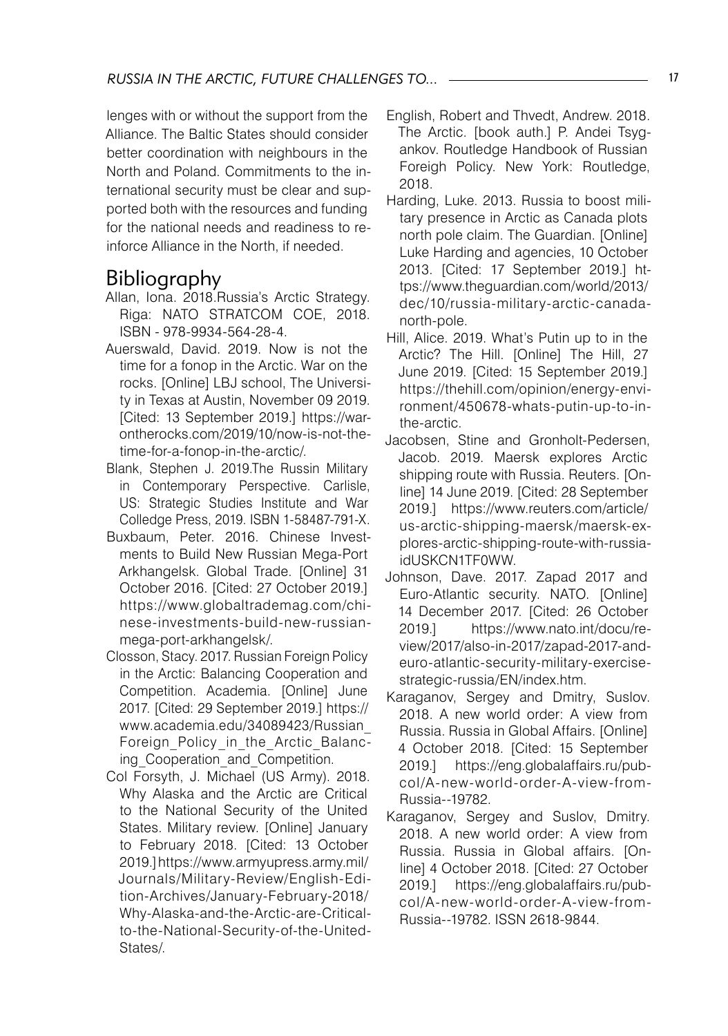lenges with or without the support from the Alliance. The Baltic States should consider better coordination with neighbours in the North and Poland. Commitments to the international security must be clear and supported both with the resources and funding for the national needs and readiness to reinforce Alliance in the North, if needed.

## Bibliography

- Allan, Iona. 2018.Russia's Arctic Strategy. Riga: NATO STRATCOM COE, 2018. ISBN - 978-9934-564-28-4.
- Auerswald, David. 2019. Now is not the time for a fonop in the Arctic. War on the rocks. [Online] LBJ school, The University in Texas at Austin, November 09 2019. [Cited: 13 September 2019.] https://warontherocks.com/2019/10/now-is-not-thetime-for-a-fonop-in-the-arctic/.
- Blank, Stephen J. 2019.The Russin Military in Contemporary Perspective. Carlisle, US: Strategic Studies Institute and War Colledge Press, 2019. ISBN 1-58487-791-X.
- Buxbaum, Peter. 2016. Chinese Investments to Build New Russian Mega-Port Arkhangelsk. Global Trade. [Online] 31 October 2016. [Cited: 27 October 2019.] https://www.globaltrademag.com/chinese-investments-build-new-russianmega-port-arkhangelsk/.
- Closson, Stacy. 2017. Russian Foreign Policy in the Arctic: Balancing Cooperation and Competition. Academia. [Online] June 2017. [Cited: 29 September 2019.] https:// www.academia.edu/34089423/Russian\_ Foreign\_Policy\_in\_the\_Arctic\_Balancing Cooperation and Competition.
- Col Forsyth, J. Michael (US Army). 2018. Why Alaska and the Arctic are Critical to the National Security of the United States. Military review. [Online] January to February 2018. [Cited: 13 October 2019.] https://www.armyupress.army.mil/ Journals/Military-Review/English-Edition-Archives/January-February-2018/ Why-Alaska-and-the-Arctic-are-Criticalto-the-National-Security-of-the-United-States/.
- English, Robert and Thvedt, Andrew. 2018. The Arctic. [book auth.] P. Andei Tsygankov. Routledge Handbook of Russian Foreigh Policy. New York: Routledge, 2018.
- Harding, Luke. 2013. Russia to boost military presence in Arctic as Canada plots north pole claim. The Guardian. [Online] Luke Harding and agencies, 10 October 2013. [Cited: 17 September 2019.] https://www.theguardian.com/world/2013/ dec/10/russia-military-arctic-canadanorth-pole.
- Hill, Alice. 2019. What's Putin up to in the Arctic? The Hill. [Online] The Hill, 27 June 2019. [Cited: 15 September 2019.] https://thehill.com/opinion/energy-environment/450678-whats-putin-up-to-inthe-arctic.
- Jacobsen, Stine and Gronholt-Pedersen, Jacob. 2019. Maersk explores Arctic shipping route with Russia. Reuters. [Online] 14 June 2019. [Cited: 28 September 2019.] https://www.reuters.com/article/ us-arctic-shipping-maersk/maersk-explores-arctic-shipping-route-with-russiaidUSKCN1TF0WW.
- Johnson, Dave. 2017. Zapad 2017 and Euro-Atlantic security. NATO. [Online] 14 December 2017. [Cited: 26 October 2019.] https://www.nato.int/docu/review/2017/also-in-2017/zapad-2017-andeuro-atlantic-security-military-exercisestrategic-russia/EN/index.htm.
- Karaganov, Sergey and Dmitry, Suslov. 2018. A new world order: A view from Russia. Russia in Global Affairs. [Online] 4 October 2018. [Cited: 15 September 2019.] https://eng.globalaffairs.ru/pubcol/A-new-world-order-A-view-from-Russia--19782.
- Karaganov, Sergey and Suslov, Dmitry. 2018. A new world order: A view from Russia. Russia in Global affairs. [Online] 4 October 2018. [Cited: 27 October 2019.] https://eng.globalaffairs.ru/pubcol/A-new-world-order-A-view-from-Russia--19782. ISSN 2618-9844.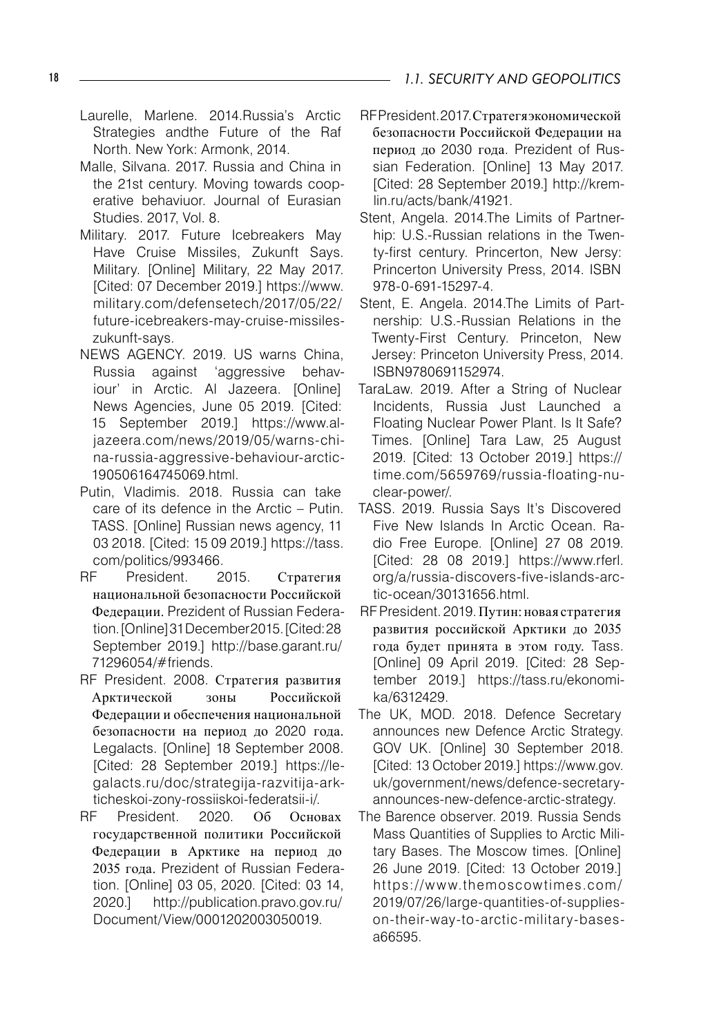- Laurelle, Marlene. 2014.Russia's Arctic Strategies andthe Future of the Raf North. New York: Armonk, 2014.
- Malle, Silvana. 2017. Russia and China in the 21st century. Moving towards cooperative behaviuor. Journal of Eurasian Studies. 2017, Vol. 8.
- Military. 2017. Future Icebreakers May Have Cruise Missiles, Zukunft Says. Military. [Online] Military, 22 May 2017. [Cited: 07 December 2019.] https://www. military.com/defensetech/2017/05/22/ future-icebreakers-may-cruise-missileszukunft-says.
- NEWS AGENCY. 2019. US warns China, Russia against 'aggressive behaviour' in Arctic. Al Jazeera. [Online] News Agencies, June 05 2019. [Cited: 15 September 2019.] https://www.aljazeera.com/news/2019/05/warns-china-russia-aggressive-behaviour-arctic-190506164745069.html.
- Putin, Vladimis. 2018. Russia can take care of its defence in the Arctic – Putin. TASS. [Online] Russian news agency, 11 03 2018. [Cited: 15 09 2019.] https://tass. com/politics/993466.
- RF President. 2015. Стратегия национальной безопасности Российской Федерации. Prezident of Russian Federation. [Online] 31 December 2015. [Cited: 28 September 2019.] http://base.garant.ru/ 71296054/#friends.
- RF President. 2008. Стратегия развития Арктической зоны Российской Федерации и обеспечения национальной безопасности на период до 2020 года. Legalacts. [Online] 18 September 2008. [Cited: 28 September 2019.] https://legalacts.ru/doc/strategija-razvitija-arkticheskoi-zony-rossiiskoi-federatsii-i/.
- RF President. 2020. Об Основах государственной политики Российской Федерации в Арктике на период до 2035 года. Prezident of Russian Federation. [Online] 03 05, 2020. [Cited: 03 14, 2020.] http://publication.pravo.gov.ru/ Document/View/0001202003050019.
- RF President. 2017. Стратегя экономической безопасности Российской Федерации на период до 2030 года. Prezident of Russian Federation. [Online] 13 May 2017. [Cited: 28 September 2019.] http://kremlin.ru/acts/bank/41921.
- Stent, Angela. 2014.The Limits of Partnerhip: U.S.-Russian relations in the Twenty-first century. Princerton, New Jersy: Princerton University Press, 2014. ISBN 978-0-691-15297-4.
- Stent, E. Angela. 2014.The Limits of Partnership: U.S.-Russian Relations in the Twenty-First Century. Princeton, New Jersey: Princeton University Press, 2014. ISBN9780691152974.
- TaraLaw. 2019. After a String of Nuclear Incidents, Russia Just Launched a Floating Nuclear Power Plant. Is It Safe? Times. [Online] Tara Law, 25 August 2019. [Cited: 13 October 2019.] https:// time.com/5659769/russia-floating-nuclear-power/.
- TASS. 2019. Russia Says It's Discovered Five New Islands In Arctic Ocean. Radio Free Europe. [Online] 27 08 2019. [Cited: 28 08 2019.] https://www.rferl. org/a/russia-discovers-five-islands-arctic-ocean/30131656.html.
- RF President. 2019. Путин: новая стратегия развития российской Арктики до 2035 года будет принята в этом году. Tass. [Online] 09 April 2019. [Cited: 28 September 2019.] https://tass.ru/ekonomika/6312429.
- The UK, MOD. 2018. Defence Secretary announces new Defence Arctic Strategy. GOV UK. [Online] 30 September 2018. [Cited: 13 October 2019.] https://www.gov. uk/government/news/defence-secretaryannounces-new-defence-arctic-strategy.
- The Barence observer. 2019. Russia Sends Mass Quantities of Supplies to Arctic Military Bases. The Moscow times. [Online] 26 June 2019. [Cited: 13 October 2019.] https://www.themoscowtimes.com/ 2019/07/26/large-quantities-of-supplieson-their-way-to-arctic-military-basesa66595.